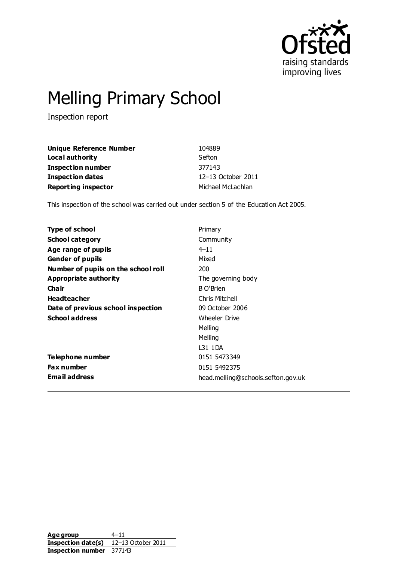

# Melling Primary School

Inspection report

| Unique Reference Number    | 104889             |
|----------------------------|--------------------|
| Local authority            | Sefton             |
| <b>Inspection number</b>   | 377143             |
| <b>Inspection dates</b>    | 12-13 October 2011 |
| <b>Reporting inspector</b> | Michael McLachlan  |

This inspection of the school was carried out under section 5 of the Education Act 2005.

| Type of school                      | Primary                            |
|-------------------------------------|------------------------------------|
| School category                     | Community                          |
| Age range of pupils                 | $4 - 11$                           |
| <b>Gender of pupils</b>             | Mixed                              |
| Number of pupils on the school roll | 200                                |
| Appropriate authority               | The governing body                 |
| Cha ir                              | B O'Brien                          |
| <b>Headteacher</b>                  | Chris Mitchell                     |
| Date of previous school inspection  | 09 October 2006                    |
| <b>School address</b>               | <b>Wheeler Drive</b>               |
|                                     | Melling                            |
|                                     | Melling                            |
|                                     | L31 1DA                            |
| Telephone number                    | 0151 5473349                       |
| Fax number                          | 0151 5492375                       |
| <b>Email address</b>                | head.melling@schools.sefton.gov.uk |

Age group 4–11 **Inspection date(s)** 12–13 October 2011 **Inspection number** 377143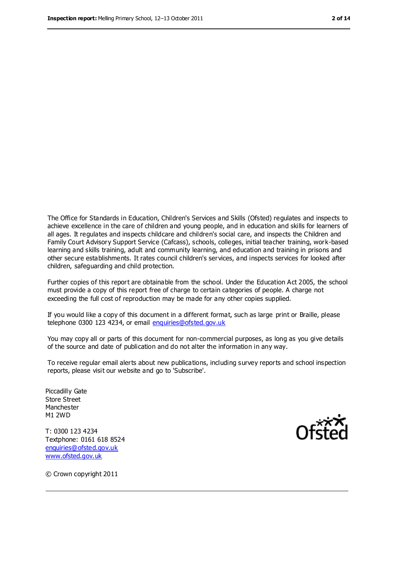The Office for Standards in Education, Children's Services and Skills (Ofsted) regulates and inspects to achieve excellence in the care of children and young people, and in education and skills for learners of all ages. It regulates and inspects childcare and children's social care, and inspects the Children and Family Court Advisory Support Service (Cafcass), schools, colleges, initial teacher training, work-based learning and skills training, adult and community learning, and education and training in prisons and other secure establishments. It rates council children's services, and inspects services for looked after children, safeguarding and child protection.

Further copies of this report are obtainable from the school. Under the Education Act 2005, the school must provide a copy of this report free of charge to certain categories of people. A charge not exceeding the full cost of reproduction may be made for any other copies supplied.

If you would like a copy of this document in a different format, such as large print or Braille, please telephone 0300 123 4234, or email [enquiries@ofsted.gov.uk](mailto:enquiries@ofsted.gov.uk)

You may copy all or parts of this document for non-commercial purposes, as long as you give details of the source and date of publication and do not alter the information in any way.

To receive regular email alerts about new publications, including survey reports and school inspection reports, please visit our website and go to 'Subscribe'.

Piccadilly Gate Store Street Manchester M1 2WD

T: 0300 123 4234 Textphone: 0161 618 8524 [enquiries@ofsted.gov.uk](mailto:enquiries@ofsted.gov.uk) [www.ofsted.gov.uk](http://www.ofsted.gov.uk/)



© Crown copyright 2011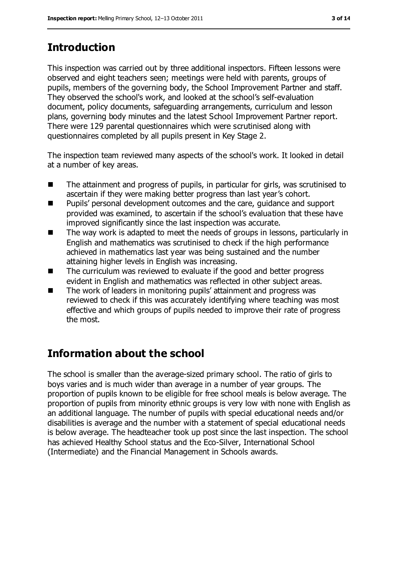# **Introduction**

This inspection was carried out by three additional inspectors. Fifteen lessons were observed and eight teachers seen; meetings were held with parents, groups of pupils, members of the governing body, the School Improvement Partner and staff. They observed the school's work, and looked at the school's self-evaluation document, policy documents, safeguarding arrangements, curriculum and lesson plans, governing body minutes and the latest School Improvement Partner report. There were 129 parental questionnaires which were scrutinised along with questionnaires completed by all pupils present in Key Stage 2.

The inspection team reviewed many aspects of the school's work. It looked in detail at a number of key areas.

- The attainment and progress of pupils, in particular for girls, was scrutinised to ascertain if they were making better progress than last year's cohort.
- **Pupils' personal development outcomes and the care, quidance and support** provided was examined, to ascertain if the school's evaluation that these have improved significantly since the last inspection was accurate.
- The way work is adapted to meet the needs of groups in lessons, particularly in English and mathematics was scrutinised to check if the high performance achieved in mathematics last year was being sustained and the number attaining higher levels in English was increasing.
- The curriculum was reviewed to evaluate if the good and better progress evident in English and mathematics was reflected in other subject areas.
- The work of leaders in monitoring pupils' attainment and progress was reviewed to check if this was accurately identifying where teaching was most effective and which groups of pupils needed to improve their rate of progress the most.

# **Information about the school**

The school is smaller than the average-sized primary school. The ratio of girls to boys varies and is much wider than average in a number of year groups. The proportion of pupils known to be eligible for free school meals is below average. The proportion of pupils from minority ethnic groups is very low with none with English as an additional language. The number of pupils with special educational needs and/or disabilities is average and the number with a statement of special educational needs is below average. The headteacher took up post since the last inspection. The school has achieved Healthy School status and the Eco-Silver, International School (Intermediate) and the Financial Management in Schools awards.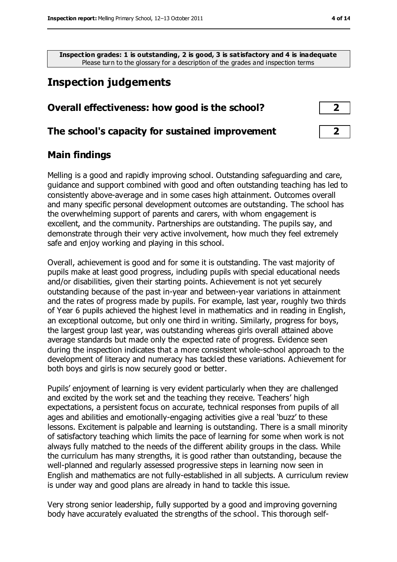**Inspection grades: 1 is outstanding, 2 is good, 3 is satisfactory and 4 is inadequate** Please turn to the glossary for a description of the grades and inspection terms

### **Inspection judgements**

| Overall effectiveness: how good is the school? |  |  |
|------------------------------------------------|--|--|
|                                                |  |  |

#### **The school's capacity for sustained improvement 2**

#### **Main findings**

Melling is a good and rapidly improving school. Outstanding safeguarding and care, guidance and support combined with good and often outstanding teaching has led to consistently above-average and in some cases high attainment. Outcomes overall and many specific personal development outcomes are outstanding. The school has the overwhelming support of parents and carers, with whom engagement is excellent, and the community. Partnerships are outstanding. The pupils say, and demonstrate through their very active involvement, how much they feel extremely safe and enjoy working and playing in this school.

Overall, achievement is good and for some it is outstanding. The vast majority of pupils make at least good progress, including pupils with special educational needs and/or disabilities, given their starting points. Achievement is not yet securely outstanding because of the past in-year and between-year variations in attainment and the rates of progress made by pupils. For example, last year, roughly two thirds of Year 6 pupils achieved the highest level in mathematics and in reading in English, an exceptional outcome, but only one third in writing. Similarly, progress for boys, the largest group last year, was outstanding whereas girls overall attained above average standards but made only the expected rate of progress. Evidence seen during the inspection indicates that a more consistent whole-school approach to the development of literacy and numeracy has tackled these variations. Achievement for both boys and girls is now securely good or better.

Pupils' enjoyment of learning is very evident particularly when they are challenged and excited by the work set and the teaching they receive. Teachers' high expectations, a persistent focus on accurate, technical responses from pupils of all ages and abilities and emotionally-engaging activities give a real 'buzz' to these lessons. Excitement is palpable and learning is outstanding. There is a small minority of satisfactory teaching which limits the pace of learning for some when work is not always fully matched to the needs of the different ability groups in the class. While the curriculum has many strengths, it is good rather than outstanding, because the well-planned and regularly assessed progressive steps in learning now seen in English and mathematics are not fully-established in all subjects. A curriculum review is under way and good plans are already in hand to tackle this issue.

Very strong senior leadership, fully supported by a good and improving governing body have accurately evaluated the strengths of the school. This thorough self-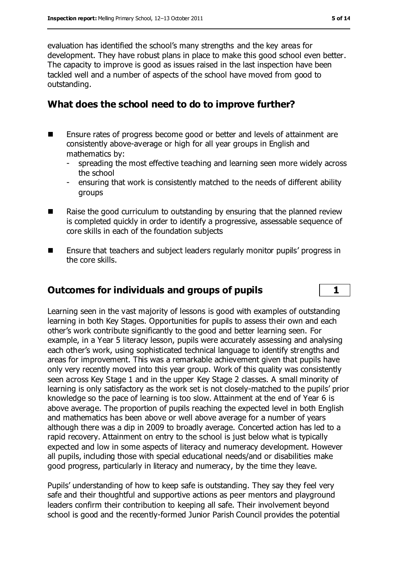evaluation has identified the school's many strengths and the key areas for development. They have robust plans in place to make this good school even better. The capacity to improve is good as issues raised in the last inspection have been tackled well and a number of aspects of the school have moved from good to outstanding.

#### **What does the school need to do to improve further?**

- Ensure rates of progress become good or better and levels of attainment are consistently above-average or high for all year groups in English and mathematics by:
	- spreading the most effective teaching and learning seen more widely across the school
	- ensuring that work is consistently matched to the needs of different ability groups
- Raise the good curriculum to outstanding by ensuring that the planned review is completed quickly in order to identify a progressive, assessable sequence of core skills in each of the foundation subjects
- **Ensure that teachers and subject leaders regularly monitor pupils' progress in** the core skills.

#### **Outcomes for individuals and groups of pupils 1**

Learning seen in the vast majority of lessons is good with examples of outstanding learning in both Key Stages. Opportunities for pupils to assess their own and each other's work contribute significantly to the good and better learning seen. For example, in a Year 5 literacy lesson, pupils were accurately assessing and analysing each other's work, using sophisticated technical language to identify strengths and areas for improvement. This was a remarkable achievement given that pupils have only very recently moved into this year group. Work of this quality was consistently seen across Key Stage 1 and in the upper Key Stage 2 classes. A small minority of learning is only satisfactory as the work set is not closely-matched to the pupils' prior knowledge so the pace of learning is too slow. Attainment at the end of Year 6 is above average. The proportion of pupils reaching the expected level in both English and mathematics has been above or well above average for a number of years although there was a dip in 2009 to broadly average. Concerted action has led to a rapid recovery. Attainment on entry to the school is just below what is typically expected and low in some aspects of literacy and numeracy development. However all pupils, including those with special educational needs/and or disabilities make good progress, particularly in literacy and numeracy, by the time they leave.

Pupils' understanding of how to keep safe is outstanding. They say they feel very safe and their thoughtful and supportive actions as peer mentors and playground leaders confirm their contribution to keeping all safe. Their involvement beyond school is good and the recently-formed Junior Parish Council provides the potential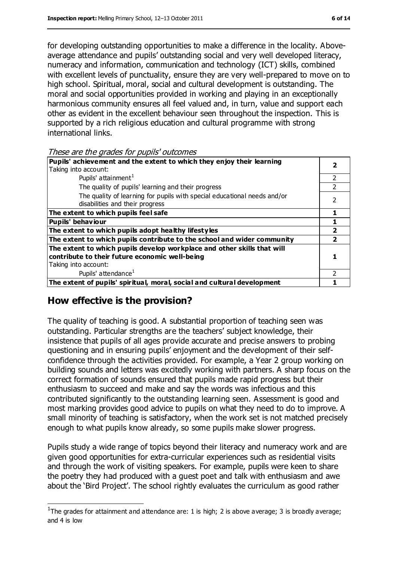for developing outstanding opportunities to make a difference in the locality. Aboveaverage attendance and pupils' outstanding social and very well developed literacy, numeracy and information, communication and technology (ICT) skills, combined with excellent levels of punctuality, ensure they are very well-prepared to move on to high school. Spiritual, moral, social and cultural development is outstanding. The moral and social opportunities provided in working and playing in an exceptionally harmonious community ensures all feel valued and, in turn, value and support each other as evident in the excellent behaviour seen throughout the inspection. This is supported by a rich religious education and cultural programme with strong international links.

These are the grades for pupils' outcomes

| Pupils' achievement and the extent to which they enjoy their learning                                                     |               |
|---------------------------------------------------------------------------------------------------------------------------|---------------|
| Taking into account:                                                                                                      |               |
| Pupils' attainment <sup>1</sup>                                                                                           | $\mathcal{L}$ |
| The quality of pupils' learning and their progress                                                                        |               |
| The quality of learning for pupils with special educational needs and/or<br>disabilities and their progress               |               |
| The extent to which pupils feel safe                                                                                      |               |
| <b>Pupils' behaviour</b>                                                                                                  |               |
| The extent to which pupils adopt healthy lifestyles                                                                       |               |
| The extent to which pupils contribute to the school and wider community                                                   |               |
| The extent to which pupils develop workplace and other skills that will<br>contribute to their future economic well-being |               |
| Taking into account:                                                                                                      |               |
| Pupils' attendance <sup>1</sup>                                                                                           |               |
| The extent of pupils' spiritual, moral, social and cultural development                                                   |               |

#### **How effective is the provision?**

 $\overline{a}$ 

The quality of teaching is good. A substantial proportion of teaching seen was outstanding. Particular strengths are the teachers' subject knowledge, their insistence that pupils of all ages provide accurate and precise answers to probing questioning and in ensuring pupils' enjoyment and the development of their selfconfidence through the activities provided. For example, a Year 2 group working on building sounds and letters was excitedly working with partners. A sharp focus on the correct formation of sounds ensured that pupils made rapid progress but their enthusiasm to succeed and make and say the words was infectious and this contributed significantly to the outstanding learning seen. Assessment is good and most marking provides good advice to pupils on what they need to do to improve. A small minority of teaching is satisfactory, when the work set is not matched precisely enough to what pupils know already, so some pupils make slower progress.

Pupils study a wide range of topics beyond their literacy and numeracy work and are given good opportunities for extra-curricular experiences such as residential visits and through the work of visiting speakers. For example, pupils were keen to share the poetry they had produced with a guest poet and talk with enthusiasm and awe about the 'Bird Project'. The school rightly evaluates the curriculum as good rather

<sup>&</sup>lt;sup>1</sup>The grades for attainment and attendance are: 1 is high; 2 is above average; 3 is broadly average; and 4 is low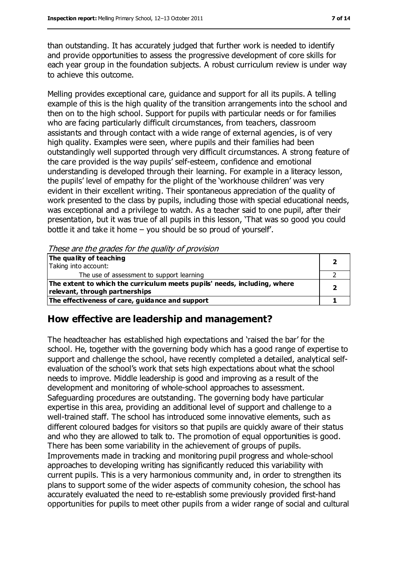than outstanding. It has accurately judged that further work is needed to identify and provide opportunities to assess the progressive development of core skills for each year group in the foundation subjects. A robust curriculum review is under way to achieve this outcome.

Melling provides exceptional care, guidance and support for all its pupils. A telling example of this is the high quality of the transition arrangements into the school and then on to the high school. Support for pupils with particular needs or for families who are facing particularly difficult circumstances, from teachers, classroom assistants and through contact with a wide range of external agencies, is of very high quality. Examples were seen, where pupils and their families had been outstandingly well supported through very difficult circumstances. A strong feature of the care provided is the way pupils' self-esteem, confidence and emotional understanding is developed through their learning. For example in a literacy lesson, the pupils' level of empathy for the plight of the 'workhouse children' was very evident in their excellent writing. Their spontaneous appreciation of the quality of work presented to the class by pupils, including those with special educational needs, was exceptional and a privilege to watch. As a teacher said to one pupil, after their presentation, but it was true of all pupils in this lesson, 'That was so good you could bottle it and take it home – you should be so proud of yourself'.

These are the grades for the quality of provision

| The quality of teaching                                                  |  |
|--------------------------------------------------------------------------|--|
| Taking into account:                                                     |  |
| The use of assessment to support learning                                |  |
| The extent to which the curriculum meets pupils' needs, including, where |  |
| relevant, through partnerships                                           |  |
| The effectiveness of care, guidance and support                          |  |

#### **How effective are leadership and management?**

The headteacher has established high expectations and 'raised the bar' for the school. He, together with the governing body which has a good range of expertise to support and challenge the school, have recently completed a detailed, analytical selfevaluation of the school's work that sets high expectations about what the school needs to improve. Middle leadership is good and improving as a result of the development and monitoring of whole-school approaches to assessment. Safeguarding procedures are outstanding. The governing body have particular expertise in this area, providing an additional level of support and challenge to a well-trained staff. The school has introduced some innovative elements, such as different coloured badges for visitors so that pupils are quickly aware of their status and who they are allowed to talk to. The promotion of equal opportunities is good. There has been some variability in the achievement of groups of pupils. Improvements made in tracking and monitoring pupil progress and whole-school approaches to developing writing has significantly reduced this variability with current pupils. This is a very harmonious community and, in order to strengthen its plans to support some of the wider aspects of community cohesion, the school has accurately evaluated the need to re-establish some previously provided first-hand opportunities for pupils to meet other pupils from a wider range of social and cultural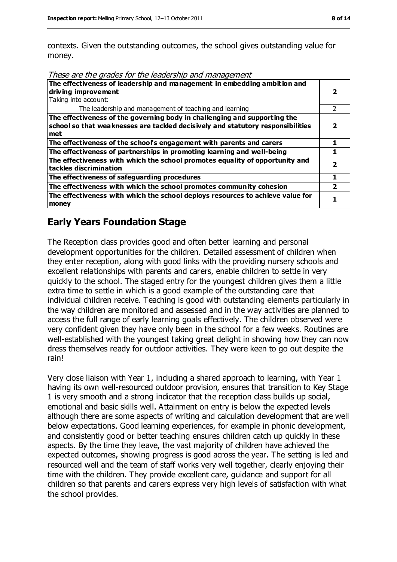contexts. Given the outstanding outcomes, the school gives outstanding value for money.

| The effectiveness of leadership and management in embedding ambition and<br>driving improvement<br>Taking into account:                                             |  |
|---------------------------------------------------------------------------------------------------------------------------------------------------------------------|--|
| The leadership and management of teaching and learning                                                                                                              |  |
| The effectiveness of the governing body in challenging and supporting the<br>school so that weaknesses are tackled decisively and statutory responsibilities<br>met |  |
| The effectiveness of the school's engagement with parents and carers                                                                                                |  |
| The effectiveness of partnerships in promoting learning and well-being                                                                                              |  |
| The effectiveness with which the school promotes equality of opportunity and<br>tackles discrimination                                                              |  |
| The effectiveness of safeguarding procedures                                                                                                                        |  |
| The effectiveness with which the school promotes community cohesion                                                                                                 |  |
| The effectiveness with which the school deploys resources to achieve value for<br>money                                                                             |  |

#### **Early Years Foundation Stage**

The Reception class provides good and often better learning and personal development opportunities for the children. Detailed assessment of children when they enter reception, along with good links with the providing nursery schools and excellent relationships with parents and carers, enable children to settle in very quickly to the school. The staged entry for the youngest children gives them a little extra time to settle in which is a good example of the outstanding care that individual children receive. Teaching is good with outstanding elements particularly in the way children are monitored and assessed and in the way activities are planned to access the full range of early learning goals effectively. The children observed were very confident given they have only been in the school for a few weeks. Routines are well-established with the youngest taking great delight in showing how they can now dress themselves ready for outdoor activities. They were keen to go out despite the rain!

Very close liaison with Year 1, including a shared approach to learning, with Year 1 having its own well-resourced outdoor provision, ensures that transition to Key Stage 1 is very smooth and a strong indicator that the reception class builds up social, emotional and basic skills well. Attainment on entry is below the expected levels although there are some aspects of writing and calculation development that are well below expectations. Good learning experiences, for example in phonic development, and consistently good or better teaching ensures children catch up quickly in these aspects. By the time they leave, the vast majority of children have achieved the expected outcomes, showing progress is good across the year. The setting is led and resourced well and the team of staff works very well together, clearly enjoying their time with the children. They provide excellent care, guidance and support for all children so that parents and carers express very high levels of satisfaction with what the school provides.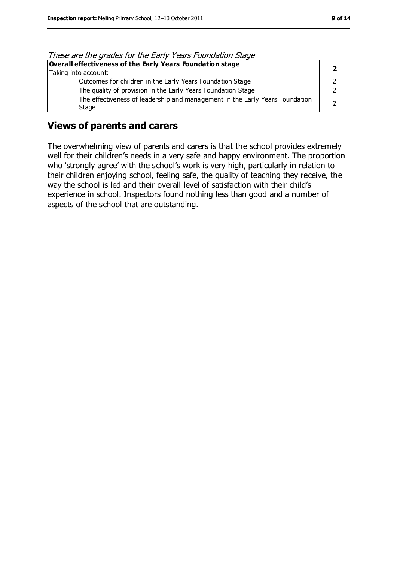| These are the grades for the Early Years Foundation Stage                    |  |
|------------------------------------------------------------------------------|--|
| Overall effectiveness of the Early Years Foundation stage                    |  |
| Taking into account:                                                         |  |
| Outcomes for children in the Early Years Foundation Stage                    |  |
| The quality of provision in the Early Years Foundation Stage                 |  |
| The effectiveness of leadership and management in the Early Years Foundation |  |
| Stage                                                                        |  |

#### These are the grades for the Early Years Foundation Stage

#### **Views of parents and carers**

The overwhelming view of parents and carers is that the school provides extremely well for their children's needs in a very safe and happy environment. The proportion who 'strongly agree' with the school's work is very high, particularly in relation to their children enjoying school, feeling safe, the quality of teaching they receive, the way the school is led and their overall level of satisfaction with their child's experience in school. Inspectors found nothing less than good and a number of aspects of the school that are outstanding.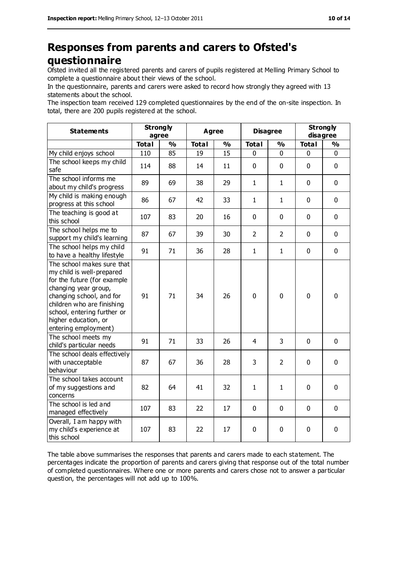### **Responses from parents and carers to Ofsted's questionnaire**

Ofsted invited all the registered parents and carers of pupils registered at Melling Primary School to complete a questionnaire about their views of the school.

In the questionnaire, parents and carers were asked to record how strongly they agreed with 13 statements about the school.

The inspection team received 129 completed questionnaires by the end of the on-site inspection. In total, there are 200 pupils registered at the school.

| <b>Statements</b>                                                                                                                                                                                                                                       | <b>Strongly</b><br>agree |               | <b>Agree</b> |               | <b>Disagree</b> |                | <b>Strongly</b><br>disagree |               |
|---------------------------------------------------------------------------------------------------------------------------------------------------------------------------------------------------------------------------------------------------------|--------------------------|---------------|--------------|---------------|-----------------|----------------|-----------------------------|---------------|
|                                                                                                                                                                                                                                                         | <b>Total</b>             | $\frac{9}{6}$ | <b>Total</b> | $\frac{1}{2}$ | <b>Total</b>    | $\frac{0}{0}$  | <b>Total</b>                | $\frac{9}{6}$ |
| My child enjoys school                                                                                                                                                                                                                                  | 110                      | 85            | 19           | 15            | 0               | $\mathbf 0$    | 0                           | 0             |
| The school keeps my child<br>safe                                                                                                                                                                                                                       | 114                      | 88            | 14           | 11            | 0               | $\mathbf 0$    | $\mathbf 0$                 | $\mathbf 0$   |
| The school informs me<br>about my child's progress                                                                                                                                                                                                      | 89                       | 69            | 38           | 29            | 1               | $\mathbf{1}$   | $\mathbf 0$                 | $\mathbf 0$   |
| My child is making enough<br>progress at this school                                                                                                                                                                                                    | 86                       | 67            | 42           | 33            | $\mathbf{1}$    | $\mathbf{1}$   | $\mathbf 0$                 | $\mathbf 0$   |
| The teaching is good at<br>this school                                                                                                                                                                                                                  | 107                      | 83            | 20           | 16            | 0               | $\mathbf 0$    | $\mathbf 0$                 | $\mathbf 0$   |
| The school helps me to<br>support my child's learning                                                                                                                                                                                                   | 87                       | 67            | 39           | 30            | $\overline{2}$  | $\overline{2}$ | $\mathbf 0$                 | $\mathbf 0$   |
| The school helps my child<br>to have a healthy lifestyle                                                                                                                                                                                                | 91                       | 71            | 36           | 28            | $\mathbf{1}$    | $\mathbf{1}$   | $\mathbf 0$                 | $\mathbf 0$   |
| The school makes sure that<br>my child is well-prepared<br>for the future (for example<br>changing year group,<br>changing school, and for<br>children who are finishing<br>school, entering further or<br>higher education, or<br>entering employment) | 91                       | 71            | 34           | 26            | $\mathbf 0$     | $\mathbf 0$    | $\mathbf 0$                 | $\mathbf 0$   |
| The school meets my<br>child's particular needs                                                                                                                                                                                                         | 91                       | 71            | 33           | 26            | $\overline{4}$  | 3              | $\mathbf 0$                 | $\mathbf 0$   |
| The school deals effectively<br>with unacceptable<br>behaviour                                                                                                                                                                                          | 87                       | 67            | 36           | 28            | 3               | $\overline{2}$ | $\mathbf 0$                 | $\mathbf 0$   |
| The school takes account<br>of my suggestions and<br>concerns                                                                                                                                                                                           | 82                       | 64            | 41           | 32            | $\mathbf{1}$    | $\mathbf{1}$   | $\mathbf 0$                 | 0             |
| The school is led and<br>managed effectively                                                                                                                                                                                                            | 107                      | 83            | 22           | 17            | 0               | $\mathbf 0$    | $\mathbf 0$                 | $\mathbf 0$   |
| Overall, I am happy with<br>my child's experience at<br>this school                                                                                                                                                                                     | 107                      | 83            | 22           | 17            | 0               | $\mathbf 0$    | $\pmb{0}$                   | 0             |

The table above summarises the responses that parents and carers made to each statement. The percentages indicate the proportion of parents and carers giving that response out of the total number of completed questionnaires. Where one or more parents and carers chose not to answer a particular question, the percentages will not add up to 100%.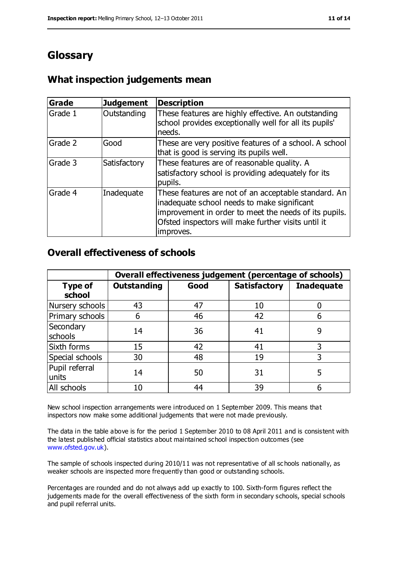# **Glossary**

#### **What inspection judgements mean**

| Grade   | <b>Judgement</b> | <b>Description</b>                                                                                                                                                                                                               |
|---------|------------------|----------------------------------------------------------------------------------------------------------------------------------------------------------------------------------------------------------------------------------|
| Grade 1 | Outstanding      | These features are highly effective. An outstanding<br>school provides exceptionally well for all its pupils'<br>needs.                                                                                                          |
| Grade 2 | Good             | These are very positive features of a school. A school<br>that is good is serving its pupils well.                                                                                                                               |
| Grade 3 | Satisfactory     | These features are of reasonable quality. A<br>satisfactory school is providing adequately for its<br>pupils.                                                                                                                    |
| Grade 4 | Inadequate       | These features are not of an acceptable standard. An<br>inadequate school needs to make significant<br>improvement in order to meet the needs of its pupils.<br>Ofsted inspectors will make further visits until it<br>improves. |

#### **Overall effectiveness of schools**

|                          | Overall effectiveness judgement (percentage of schools) |      |                     |                   |
|--------------------------|---------------------------------------------------------|------|---------------------|-------------------|
| <b>Type of</b><br>school | <b>Outstanding</b>                                      | Good | <b>Satisfactory</b> | <b>Inadequate</b> |
| Nursery schools          | 43                                                      | 47   | 10                  |                   |
| Primary schools          | 6                                                       | 46   | 42                  | 6                 |
| Secondary<br>schools     | 14                                                      | 36   | 41                  | 9                 |
| Sixth forms              | 15                                                      | 42   | 41                  | 3                 |
| Special schools          | 30                                                      | 48   | 19                  | 3                 |
| Pupil referral<br>units  | 14                                                      | 50   | 31                  | 5                 |
| All schools              | 10                                                      | 44   | 39                  |                   |

New school inspection arrangements were introduced on 1 September 2009. This means that inspectors now make some additional judgements that were not made previously.

The data in the table above is for the period 1 September 2010 to 08 April 2011 and is consistent with the latest published official statistics about maintained school inspection outcomes (see [www.ofsted.gov.uk\)](http://www.ofsted.gov.uk/).

The sample of schools inspected during 2010/11 was not representative of all sc hools nationally, as weaker schools are inspected more frequently than good or outstanding schools.

Percentages are rounded and do not always add up exactly to 100. Sixth-form figures reflect the judgements made for the overall effectiveness of the sixth form in secondary schools, special schools and pupil referral units.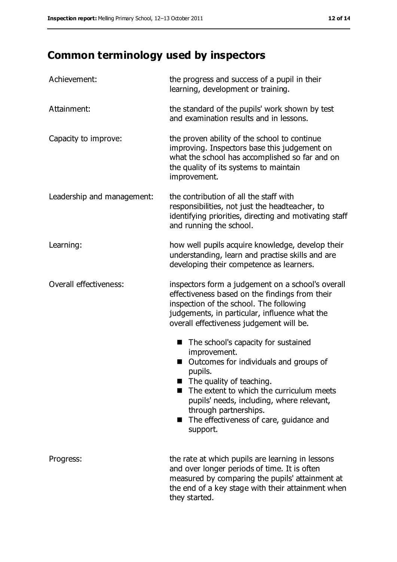# **Common terminology used by inspectors**

| Achievement:               | the progress and success of a pupil in their<br>learning, development or training.                                                                                                                                                                                                                                                      |
|----------------------------|-----------------------------------------------------------------------------------------------------------------------------------------------------------------------------------------------------------------------------------------------------------------------------------------------------------------------------------------|
| Attainment:                | the standard of the pupils' work shown by test<br>and examination results and in lessons.                                                                                                                                                                                                                                               |
| Capacity to improve:       | the proven ability of the school to continue<br>improving. Inspectors base this judgement on<br>what the school has accomplished so far and on<br>the quality of its systems to maintain<br>improvement.                                                                                                                                |
| Leadership and management: | the contribution of all the staff with<br>responsibilities, not just the headteacher, to<br>identifying priorities, directing and motivating staff<br>and running the school.                                                                                                                                                           |
| Learning:                  | how well pupils acquire knowledge, develop their<br>understanding, learn and practise skills and are<br>developing their competence as learners.                                                                                                                                                                                        |
| Overall effectiveness:     | inspectors form a judgement on a school's overall<br>effectiveness based on the findings from their<br>inspection of the school. The following<br>judgements, in particular, influence what the<br>overall effectiveness judgement will be.                                                                                             |
|                            | The school's capacity for sustained<br>■<br>improvement.<br>Outcomes for individuals and groups of<br>pupils.<br>$\blacksquare$ The quality of teaching.<br>The extent to which the curriculum meets<br>pupils' needs, including, where relevant,<br>through partnerships.<br>The effectiveness of care, guidance and<br>H.<br>support. |
| Progress:                  | the rate at which pupils are learning in lessons<br>and over longer periods of time. It is often<br>measured by comparing the pupils' attainment at<br>the end of a key stage with their attainment when<br>they started.                                                                                                               |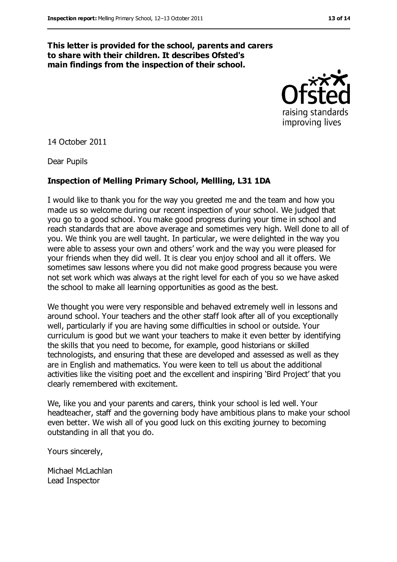#### **This letter is provided for the school, parents and carers to share with their children. It describes Ofsted's main findings from the inspection of their school.**



14 October 2011

Dear Pupils

#### **Inspection of Melling Primary School, Mellling, L31 1DA**

I would like to thank you for the way you greeted me and the team and how you made us so welcome during our recent inspection of your school. We judged that you go to a good school. You make good progress during your time in school and reach standards that are above average and sometimes very high. Well done to all of you. We think you are well taught. In particular, we were delighted in the way you were able to assess your own and others' work and the way you were pleased for your friends when they did well. It is clear you enjoy school and all it offers. We sometimes saw lessons where you did not make good progress because you were not set work which was always at the right level for each of you so we have asked the school to make all learning opportunities as good as the best.

We thought you were very responsible and behaved extremely well in lessons and around school. Your teachers and the other staff look after all of you exceptionally well, particularly if you are having some difficulties in school or outside. Your curriculum is good but we want your teachers to make it even better by identifying the skills that you need to become, for example, good historians or skilled technologists, and ensuring that these are developed and assessed as well as they are in English and mathematics. You were keen to tell us about the additional activities like the visiting poet and the excellent and inspiring 'Bird Project' that you clearly remembered with excitement.

We, like you and your parents and carers, think your school is led well. Your headteacher, staff and the governing body have ambitious plans to make your school even better. We wish all of you good luck on this exciting journey to becoming outstanding in all that you do.

Yours sincerely,

Michael McLachlan Lead Inspector